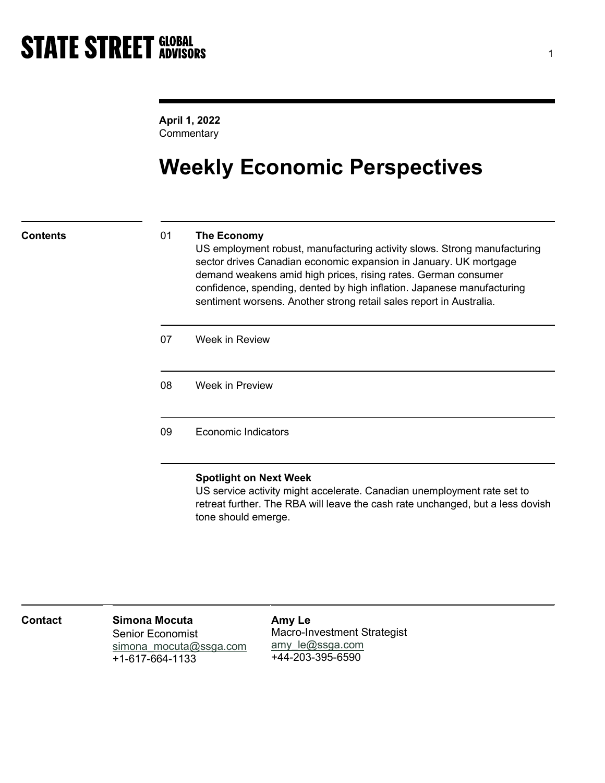April 1, 2022 **Commentary** 

# Weekly Economic Perspectives

## Contents 01 The Economy

US employment robust, manufacturing activity slows. Strong manufacturing sector drives Canadian economic expansion in January. UK mortgage demand weakens amid high prices, rising rates. German consumer confidence, spending, dented by high inflation. Japanese manufacturing sentiment worsens. Another strong retail sales report in Australia.

| 07 | Week in Review             |
|----|----------------------------|
| 08 | Week in Preview            |
| 09 | <b>Economic Indicators</b> |

### Spotlight on Next Week

US service activity might accelerate. Canadian unemployment rate set to retreat further. The RBA will leave the cash rate unchanged, but a less dovish tone should emerge.

| <b>Contact</b> | Simona Mocuta<br>Senior Economist         | Amy Le<br>Macro-Investment Strategist |
|----------------|-------------------------------------------|---------------------------------------|
|                | simona mocuta@ssga.com<br>+1-617-664-1133 | amy le@ssga.com<br>+44-203-395-6590   |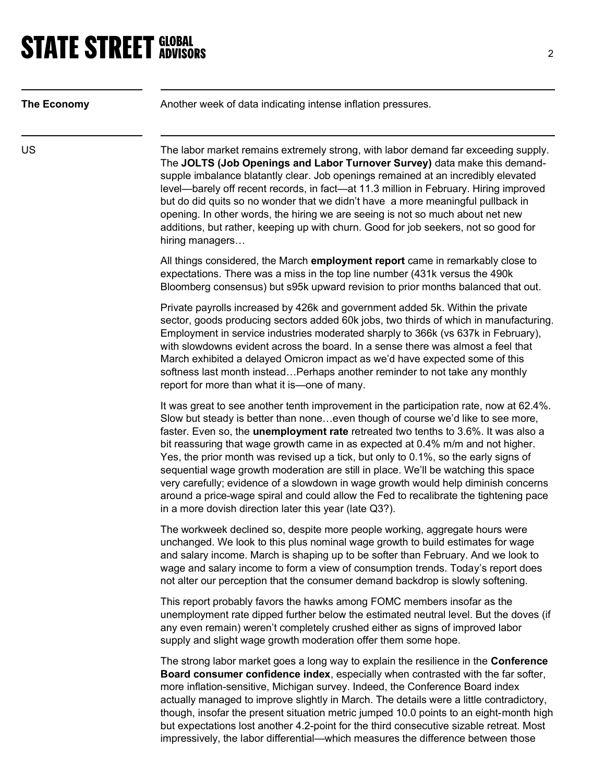| The Economy | Another week of data indicating intense inflation pressures.                                                                                                                                                                                                                                                                                                                                                                                                                                                                                                                                                                                                                                                                                                                    |
|-------------|---------------------------------------------------------------------------------------------------------------------------------------------------------------------------------------------------------------------------------------------------------------------------------------------------------------------------------------------------------------------------------------------------------------------------------------------------------------------------------------------------------------------------------------------------------------------------------------------------------------------------------------------------------------------------------------------------------------------------------------------------------------------------------|
| US          | The labor market remains extremely strong, with labor demand far exceeding supply.<br>The JOLTS (Job Openings and Labor Turnover Survey) data make this demand-<br>supple imbalance blatantly clear. Job openings remained at an incredibly elevated<br>level—barely off recent records, in fact—at 11.3 million in February. Hiring improved<br>but do did quits so no wonder that we didn't have a more meaningful pullback in<br>opening. In other words, the hiring we are seeing is not so much about net new<br>additions, but rather, keeping up with churn. Good for job seekers, not so good for<br>hiring managers                                                                                                                                                    |
|             | All things considered, the March employment report came in remarkably close to<br>expectations. There was a miss in the top line number (431k versus the 490k<br>Bloomberg consensus) but s95k upward revision to prior months balanced that out.                                                                                                                                                                                                                                                                                                                                                                                                                                                                                                                               |
|             | Private payrolls increased by 426k and government added 5k. Within the private<br>sector, goods producing sectors added 60k jobs, two thirds of which in manufacturing.<br>Employment in service industries moderated sharply to 366k (vs 637k in February),<br>with slowdowns evident across the board. In a sense there was almost a feel that<br>March exhibited a delayed Omicron impact as we'd have expected some of this<br>softness last month insteadPerhaps another reminder to not take any monthly<br>report for more than what it is-one of many.                                                                                                                                                                                                                  |
|             | It was great to see another tenth improvement in the participation rate, now at 62.4%.<br>Slow but steady is better than noneeven though of course we'd like to see more,<br>faster. Even so, the <b>unemployment rate</b> retreated two tenths to 3.6%. It was also a<br>bit reassuring that wage growth came in as expected at 0.4% m/m and not higher.<br>Yes, the prior month was revised up a tick, but only to 0.1%, so the early signs of<br>sequential wage growth moderation are still in place. We'll be watching this space<br>very carefully; evidence of a slowdown in wage growth would help diminish concerns<br>around a price-wage spiral and could allow the Fed to recalibrate the tightening pace<br>in a more dovish direction later this year (late Q3?). |
|             | The workweek declined so, despite more people working, aggregate hours were<br>unchanged. We look to this plus nominal wage growth to build estimates for wage<br>and salary income. March is shaping up to be softer than February. And we look to<br>wage and salary income to form a view of consumption trends. Today's report does<br>not alter our perception that the consumer demand backdrop is slowly softening.                                                                                                                                                                                                                                                                                                                                                      |
|             | This report probably favors the hawks among FOMC members insofar as the<br>unemployment rate dipped further below the estimated neutral level. But the doves (if<br>any even remain) weren't completely crushed either as signs of improved labor<br>supply and slight wage growth moderation offer them some hope.                                                                                                                                                                                                                                                                                                                                                                                                                                                             |
|             | The strong labor market goes a long way to explain the resilience in the <b>Conference</b><br>Board consumer confidence index, especially when contrasted with the far softer,<br>more inflation-sensitive, Michigan survey. Indeed, the Conference Board index<br>actually managed to improve slightly in March. The details were a little contradictory,<br>though, insofar the present situation metric jumped 10.0 points to an eight-month high<br>but expectations lost another 4.2-point for the third consecutive sizable retreat. Most<br>impressively, the labor differential—which measures the difference between those                                                                                                                                             |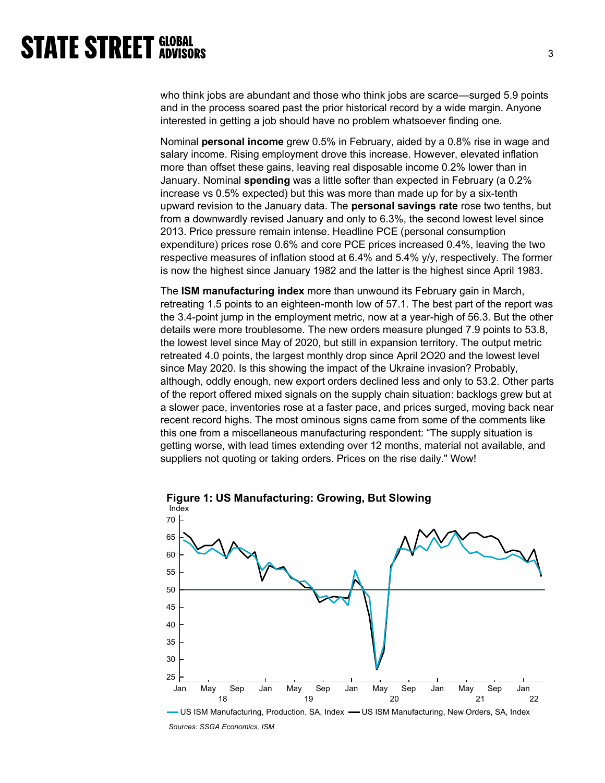who think jobs are abundant and those who think jobs are scarce—surged 5.9 points and in the process soared past the prior historical record by a wide margin. Anyone interested in getting a job should have no problem whatsoever finding one.

Nominal personal income grew 0.5% in February, aided by a 0.8% rise in wage and salary income. Rising employment drove this increase. However, elevated inflation more than offset these gains, leaving real disposable income 0.2% lower than in January. Nominal spending was a little softer than expected in February (a 0.2% increase vs 0.5% expected) but this was more than made up for by a six-tenth upward revision to the January data. The **personal savings rate** rose two tenths, but from a downwardly revised January and only to 6.3%, the second lowest level since 2013. Price pressure remain intense. Headline PCE (personal consumption expenditure) prices rose 0.6% and core PCE prices increased 0.4%, leaving the two respective measures of inflation stood at 6.4% and 5.4% y/y, respectively. The former is now the highest since January 1982 and the latter is the highest since April 1983.

The ISM manufacturing index more than unwound its February gain in March, retreating 1.5 points to an eighteen-month low of 57.1. The best part of the report was the 3.4-point jump in the employment metric, now at a year-high of 56.3. But the other details were more troublesome. The new orders measure plunged 7.9 points to 53.8, the lowest level since May of 2020, but still in expansion territory. The output metric retreated 4.0 points, the largest monthly drop since April 2O20 and the lowest level since May 2020. Is this showing the impact of the Ukraine invasion? Probably, although, oddly enough, new export orders declined less and only to 53.2. Other parts of the report offered mixed signals on the supply chain situation: backlogs grew but at a slower pace, inventories rose at a faster pace, and prices surged, moving back near recent record highs. The most ominous signs came from some of the comments like this one from a miscellaneous manufacturing respondent: "The supply situation is getting worse, with lead times extending over 12 months, material not available, and suppliers not quoting or taking orders. Prices on the rise daily." Wow!



Figure 1: US Manufacturing: Growing, But Slowing

Sources: SSGA Economics, ISM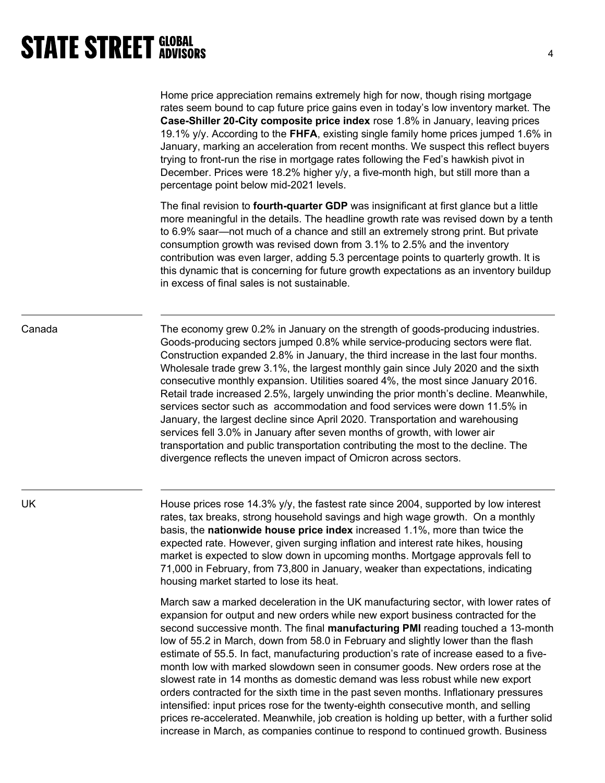Home price appreciation remains extremely high for now, though rising mortgage rates seem bound to cap future price gains even in today's low inventory market. The Case-Shiller 20-City composite price index rose 1.8% in January, leaving prices 19.1%  $y/y$ . According to the **FHFA**, existing single family home prices jumped 1.6% in January, marking an acceleration from recent months. We suspect this reflect buyers trying to front-run the rise in mortgage rates following the Fed's hawkish pivot in December. Prices were 18.2% higher y/y, a five-month high, but still more than a percentage point below mid-2021 levels.

The final revision to **fourth-quarter GDP** was insignificant at first glance but a little more meaningful in the details. The headline growth rate was revised down by a tenth to 6.9% saar—not much of a chance and still an extremely strong print. But private consumption growth was revised down from 3.1% to 2.5% and the inventory contribution was even larger, adding 5.3 percentage points to quarterly growth. It is this dynamic that is concerning for future growth expectations as an inventory buildup in excess of final sales is not sustainable.

Canada The economy grew 0.2% in January on the strength of goods-producing industries. Goods-producing sectors jumped 0.8% while service-producing sectors were flat. Construction expanded 2.8% in January, the third increase in the last four months. Wholesale trade grew 3.1%, the largest monthly gain since July 2020 and the sixth consecutive monthly expansion. Utilities soared 4%, the most since January 2016. Retail trade increased 2.5%, largely unwinding the prior month's decline. Meanwhile, services sector such as accommodation and food services were down 11.5% in January, the largest decline since April 2020. Transportation and warehousing services fell 3.0% in January after seven months of growth, with lower air transportation and public transportation contributing the most to the decline. The divergence reflects the uneven impact of Omicron across sectors.

UK **Example 3 House prices rose 14.3% y/y, the fastest rate since 2004, supported by low interest** rates, tax breaks, strong household savings and high wage growth. On a monthly basis, the nationwide house price index increased 1.1%, more than twice the expected rate. However, given surging inflation and interest rate hikes, housing market is expected to slow down in upcoming months. Mortgage approvals fell to 71,000 in February, from 73,800 in January, weaker than expectations, indicating housing market started to lose its heat.

> March saw a marked deceleration in the UK manufacturing sector, with lower rates of expansion for output and new orders while new export business contracted for the second successive month. The final **manufacturing PMI** reading touched a 13-month low of 55.2 in March, down from 58.0 in February and slightly lower than the flash estimate of 55.5. In fact, manufacturing production's rate of increase eased to a fivemonth low with marked slowdown seen in consumer goods. New orders rose at the slowest rate in 14 months as domestic demand was less robust while new export orders contracted for the sixth time in the past seven months. Inflationary pressures intensified: input prices rose for the twenty-eighth consecutive month, and selling prices re-accelerated. Meanwhile, job creation is holding up better, with a further solid increase in March, as companies continue to respond to continued growth. Business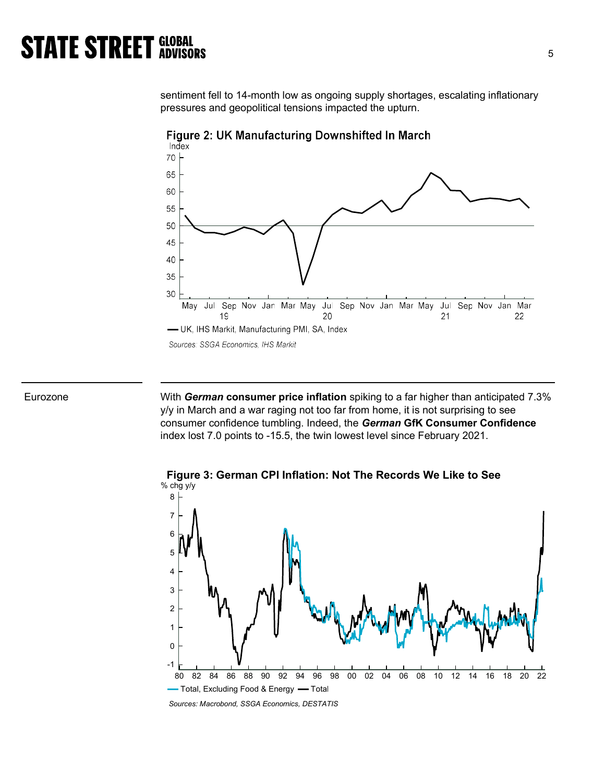sentiment fell to 14-month low as ongoing supply shortages, escalating inflationary pressures and geopolitical tensions impacted the upturn.





Eurozone **With German consumer price inflation** spiking to a far higher than anticipated 7.3% y/y in March and a war raging not too far from home, it is not surprising to see consumer confidence tumbling. Indeed, the German GfK Consumer Confidence index lost 7.0 points to -15.5, the twin lowest level since February 2021.



Figure 3: German CPI Inflation: Not The Records We Like to See

Sources: Macrobond, SSGA Economics, DESTATIS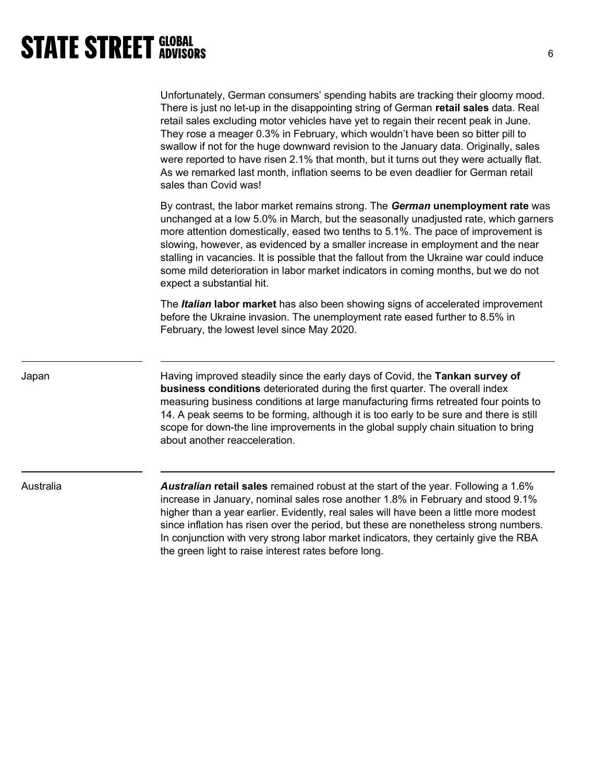# **STATE STREET GLOBAL STATE STREET GLOBAL**

|           | Unfortunately, German consumers' spending habits are tracking their gloomy mood.<br>There is just no let-up in the disappointing string of German retail sales data. Real<br>retail sales excluding motor vehicles have yet to regain their recent peak in June.<br>They rose a meager 0.3% in February, which wouldn't have been so bitter pill to<br>swallow if not for the huge downward revision to the January data. Originally, sales<br>were reported to have risen 2.1% that month, but it turns out they were actually flat.<br>As we remarked last month, inflation seems to be even deadlier for German retail<br>sales than Covid was! |
|-----------|----------------------------------------------------------------------------------------------------------------------------------------------------------------------------------------------------------------------------------------------------------------------------------------------------------------------------------------------------------------------------------------------------------------------------------------------------------------------------------------------------------------------------------------------------------------------------------------------------------------------------------------------------|
|           | By contrast, the labor market remains strong. The German unemployment rate was<br>unchanged at a low 5.0% in March, but the seasonally unadjusted rate, which garners<br>more attention domestically, eased two tenths to 5.1%. The pace of improvement is<br>slowing, however, as evidenced by a smaller increase in employment and the near<br>stalling in vacancies. It is possible that the fallout from the Ukraine war could induce<br>some mild deterioration in labor market indicators in coming months, but we do not<br>expect a substantial hit.                                                                                       |
|           | The Italian labor market has also been showing signs of accelerated improvement<br>before the Ukraine invasion. The unemployment rate eased further to 8.5% in<br>February, the lowest level since May 2020.                                                                                                                                                                                                                                                                                                                                                                                                                                       |
| Japan     | Having improved steadily since the early days of Covid, the Tankan survey of<br>business conditions deteriorated during the first quarter. The overall index<br>measuring business conditions at large manufacturing firms retreated four points to<br>14. A peak seems to be forming, although it is too early to be sure and there is still<br>scope for down-the line improvements in the global supply chain situation to bring<br>about another reacceleration.                                                                                                                                                                               |
| Australia | Australian retail sales remained robust at the start of the year. Following a 1.6%<br>increase in January, nominal sales rose another 1.8% in February and stood 9.1%<br>higher than a year earlier. Evidently, real sales will have been a little more modest<br>since inflation has risen over the period, but these are nonetheless strong numbers.<br>In conjunction with very strong labor market indicators, they certainly give the RBA<br>the green light to raise interest rates before long.                                                                                                                                             |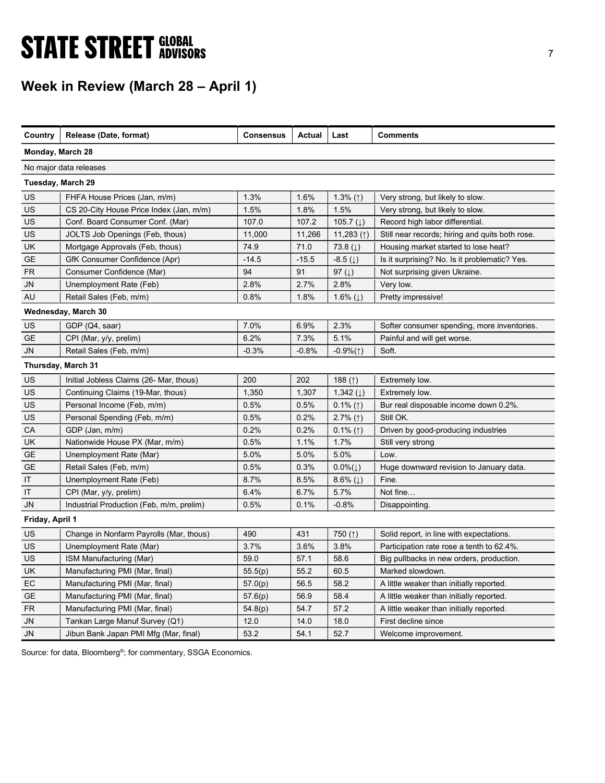# **STATE STREET GLOBAL STATE STREET GLOBAL**

## Week in Review (March 28 – April 1)

| Country           | Release (Date, format)                   | <b>Consensus</b> | <b>Actual</b> | Last                    | <b>Comments</b>                                 |  |  |  |  |
|-------------------|------------------------------------------|------------------|---------------|-------------------------|-------------------------------------------------|--|--|--|--|
| Monday, March 28  |                                          |                  |               |                         |                                                 |  |  |  |  |
|                   | No major data releases                   |                  |               |                         |                                                 |  |  |  |  |
| Tuesday, March 29 |                                          |                  |               |                         |                                                 |  |  |  |  |
| US                | FHFA House Prices (Jan, m/m)             | 1.3%             | 1.6%          | 1.3% $(1)$              | Very strong, but likely to slow.                |  |  |  |  |
| <b>US</b>         | CS 20-City House Price Index (Jan, m/m)  | 1.5%             | 1.8%          | 1.5%                    | Very strong, but likely to slow.                |  |  |  |  |
| US                | Conf. Board Consumer Conf. (Mar)         | 107.0            | 107.2         | 105.7 $(1)$             | Record high labor differential.                 |  |  |  |  |
| US                | JOLTS Job Openings (Feb, thous)          | 11,000           | 11,266        | 11,283 $($ $\uparrow$ ) | Still near records; hiring and quits both rose. |  |  |  |  |
| <b>UK</b>         | Mortgage Approvals (Feb, thous)          | 74.9             | 71.0          | 73.8 $(1)$              | Housing market started to lose heat?            |  |  |  |  |
| <b>GE</b>         | GfK Consumer Confidence (Apr)            | $-14.5$          | $-15.5$       | $-8.5$ ( $\downarrow$ ) | Is it surprising? No. Is it problematic? Yes.   |  |  |  |  |
| FR                | Consumer Confidence (Mar)                | 94               | 91            | 97 $(\downarrow)$       | Not surprising given Ukraine.                   |  |  |  |  |
| JN                | Unemployment Rate (Feb)                  | 2.8%             | 2.7%          | 2.8%                    | Very low.                                       |  |  |  |  |
| AU                | Retail Sales (Feb, m/m)                  | 0.8%             | 1.8%          | 1.6% $(1)$              | Pretty impressive!                              |  |  |  |  |
|                   | Wednesday, March 30                      |                  |               |                         |                                                 |  |  |  |  |
| US                | GDP (Q4, saar)                           | 7.0%             | 6.9%          | 2.3%                    | Softer consumer spending, more inventories.     |  |  |  |  |
| <b>GE</b>         | CPI (Mar, y/y, prelim)                   | 6.2%             | 7.3%          | 5.1%                    | Painful and will get worse.                     |  |  |  |  |
| <b>JN</b>         | Retail Sales (Feb, m/m)                  | $-0.3%$          | $-0.8%$       | $-0.9%(1)$              | Soft.                                           |  |  |  |  |
|                   | Thursday, March 31                       |                  |               |                         |                                                 |  |  |  |  |
| US                | Initial Jobless Claims (26- Mar, thous)  | 200              | 202           | 188 $($ 1)              | Extremely low.                                  |  |  |  |  |
| <b>US</b>         | Continuing Claims (19-Mar, thous)        | 1,350            | 1,307         | 1,342 $(1)$             | Extremely low.                                  |  |  |  |  |
| US                | Personal Income (Feb, m/m)               | 0.5%             | 0.5%          | $0.1\%$ (1)             | Bur real disposable income down 0.2%.           |  |  |  |  |
| US                | Personal Spending (Feb, m/m)             | 0.5%             | 0.2%          | $2.7\%$ (1)             | Still OK.                                       |  |  |  |  |
| CA                | GDP (Jan, m/m)                           | 0.2%             | 0.2%          | $0.1\%$ (1)             | Driven by good-producing industries             |  |  |  |  |
| <b>UK</b>         | Nationwide House PX (Mar, m/m)           | 0.5%             | 1.1%          | 1.7%                    | Still very strong                               |  |  |  |  |
| GE                | Unemployment Rate (Mar)                  | 5.0%             | 5.0%          | 5.0%                    | Low.                                            |  |  |  |  |
| <b>GE</b>         | Retail Sales (Feb, m/m)                  | 0.5%             | 0.3%          | $0.0\%(\downarrow)$     | Huge downward revision to January data.         |  |  |  |  |
| IT                | Unemployment Rate (Feb)                  | 8.7%             | 8.5%          | 8.6% $(1)$              | Fine.                                           |  |  |  |  |
| IT                | CPI (Mar, y/y, prelim)                   | 6.4%             | 6.7%          | 5.7%                    | Not fine                                        |  |  |  |  |
| JN                | Industrial Production (Feb, m/m, prelim) | 0.5%             | 0.1%          | $-0.8%$                 | Disappointing.                                  |  |  |  |  |
| Friday, April 1   |                                          |                  |               |                         |                                                 |  |  |  |  |
| US                | Change in Nonfarm Payrolls (Mar, thous)  | 490              | 431           | 750 $($ $\uparrow$ )    | Solid report, in line with expectations.        |  |  |  |  |
| US                | Unemployment Rate (Mar)                  | 3.7%             | 3.6%          | 3.8%                    | Participation rate rose a tenth to 62.4%.       |  |  |  |  |
| US                | ISM Manufacturing (Mar)                  | 59.0             | 57.1          | 58.6                    | Big pullbacks in new orders, production.        |  |  |  |  |
| UK                | Manufacturing PMI (Mar, final)           | 55.5(p)          | 55.2          | 60.5                    | Marked slowdown.                                |  |  |  |  |
| EC                | Manufacturing PMI (Mar, final)           | 57.0(p)          | 56.5          | 58.2                    | A little weaker than initially reported.        |  |  |  |  |
| <b>GE</b>         | Manufacturing PMI (Mar, final)           | 57.6(p)          | 56.9          | 58.4                    | A little weaker than initially reported.        |  |  |  |  |
| <b>FR</b>         | Manufacturing PMI (Mar, final)           | 54.8(p)          | 54.7          | 57.2                    | A little weaker than initially reported.        |  |  |  |  |
| JN                | Tankan Large Manuf Survey (Q1)           | 12.0             | 14.0          | 18.0                    | First decline since                             |  |  |  |  |
| <b>JN</b>         | Jibun Bank Japan PMI Mfg (Mar, final)    | 53.2             | 54.1          | 52.7                    | Welcome improvement.                            |  |  |  |  |

Source: for data, Bloomberg<sup>®</sup>; for commentary, SSGA Economics.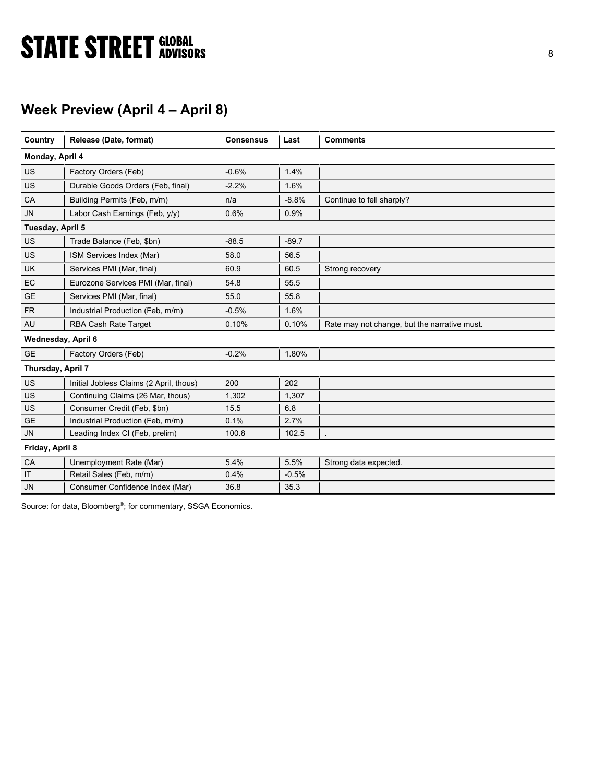# **STATE STREET GLOBAL STATE STREET GLOBAL**

## Week Preview (April 4 – April 8)

| Country            | Release (Date, format)                  | <b>Consensus</b> | Last    | <b>Comments</b>                              |
|--------------------|-----------------------------------------|------------------|---------|----------------------------------------------|
| Monday, April 4    |                                         |                  |         |                                              |
| US                 | Factory Orders (Feb)                    | $-0.6%$          | 1.4%    |                                              |
| US                 | Durable Goods Orders (Feb, final)       | $-2.2%$          | 1.6%    |                                              |
| CA                 | Building Permits (Feb, m/m)             | n/a              | $-8.8%$ | Continue to fell sharply?                    |
| <b>JN</b>          | Labor Cash Earnings (Feb, y/y)          | 0.6%             | 0.9%    |                                              |
| Tuesday, April 5   |                                         |                  |         |                                              |
| US                 | Trade Balance (Feb, \$bn)               | $-88.5$          | $-89.7$ |                                              |
| US                 | ISM Services Index (Mar)                | 58.0             | 56.5    |                                              |
| <b>UK</b>          | Services PMI (Mar, final)               | 60.9             | 60.5    | Strong recovery                              |
| EC                 | Eurozone Services PMI (Mar, final)      | 54.8             | 55.5    |                                              |
| <b>GE</b>          | Services PMI (Mar, final)               | 55.0             | 55.8    |                                              |
| <b>FR</b>          | Industrial Production (Feb, m/m)        | $-0.5%$          | 1.6%    |                                              |
| AU                 | RBA Cash Rate Target                    | 0.10%            | 0.10%   | Rate may not change, but the narrative must. |
| Wednesday, April 6 |                                         |                  |         |                                              |
| <b>GE</b>          | Factory Orders (Feb)                    | $-0.2%$          | 1.80%   |                                              |
| Thursday, April 7  |                                         |                  |         |                                              |
| US                 | Initial Jobless Claims (2 April, thous) | 200              | 202     |                                              |
| <b>US</b>          | Continuing Claims (26 Mar, thous)       | 1,302            | 1,307   |                                              |
| US                 | Consumer Credit (Feb. \$bn)             | 15.5             | 6.8     |                                              |
| <b>GE</b>          | Industrial Production (Feb, m/m)        | 0.1%             | 2.7%    |                                              |
| <b>JN</b>          | Leading Index CI (Feb, prelim)          | 100.8            | 102.5   |                                              |
| Friday, April 8    |                                         |                  |         |                                              |
| CA                 | Unemployment Rate (Mar)                 | 5.4%             | 5.5%    | Strong data expected.                        |
| IT                 | Retail Sales (Feb, m/m)                 | 0.4%             | $-0.5%$ |                                              |
| <b>JN</b>          | Consumer Confidence Index (Mar)         | 36.8             | 35.3    |                                              |

Source: for data, Bloomberg<sup>®</sup>; for commentary, SSGA Economics.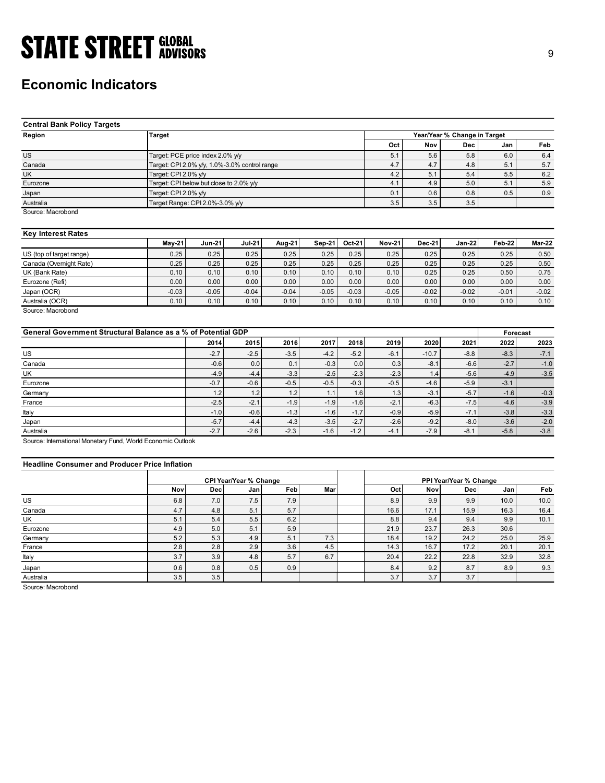## Economic Indicators

| <b>STATE STREET GLOBAL</b>                                    |                                               |                  |                  |                  |         |                  |               |               |                              |                  |                  |
|---------------------------------------------------------------|-----------------------------------------------|------------------|------------------|------------------|---------|------------------|---------------|---------------|------------------------------|------------------|------------------|
|                                                               |                                               |                  |                  |                  |         |                  |               |               |                              |                  | 9                |
|                                                               |                                               |                  |                  |                  |         |                  |               |               |                              |                  |                  |
|                                                               |                                               |                  |                  |                  |         |                  |               |               |                              |                  |                  |
| <b>Economic Indicators</b>                                    |                                               |                  |                  |                  |         |                  |               |               |                              |                  |                  |
|                                                               |                                               |                  |                  |                  |         |                  |               |               |                              |                  |                  |
|                                                               |                                               |                  |                  |                  |         |                  |               |               |                              |                  |                  |
|                                                               |                                               |                  |                  |                  |         |                  |               |               |                              |                  |                  |
| <b>Central Bank Policy Targets</b>                            |                                               |                  |                  |                  |         |                  |               |               |                              |                  |                  |
| Region                                                        | <b>Target</b>                                 |                  |                  |                  |         |                  |               |               | Year/Year % Change in Target |                  |                  |
|                                                               |                                               |                  |                  |                  |         |                  | Oct           | Nov           | Dec                          | Jan              | Feb              |
|                                                               |                                               |                  |                  |                  |         |                  |               |               |                              |                  |                  |
| $\overline{US}$                                               | Target: PCE price index 2.0% y/y              |                  |                  |                  |         |                  | 5.1           | 5.6           | 5.8                          | 6.0              | 6.4              |
| Canada                                                        | Target: CPI 2.0% y/y, 1.0%-3.0% control range |                  |                  |                  |         |                  | 4.7           | 4.7           | 4.8                          | 5.1              | 5.7              |
| <b>UK</b>                                                     | Target: CPI 2.0% y/y                          |                  |                  |                  |         |                  | 4.2<br>4.1    | 5.1<br>4.9    | 5.4                          | 5.5<br>5.1       | 6.2              |
| Eurozone                                                      | Target: CPI below but close to 2.0% y/y       |                  |                  |                  |         |                  |               |               | 5.0                          |                  | 5.9              |
| Japan                                                         | Target: CPI 2.0% y/y                          |                  |                  |                  |         |                  | 0.1           | 0.6           | 0.8                          | 0.5              | 0.9              |
| Australia                                                     | Target Range: CPI 2.0%-3.0% y/y               |                  |                  |                  |         |                  | 3.5           | 3.5           | 3.5                          |                  |                  |
| Source: Macrobond                                             |                                               |                  |                  |                  |         |                  |               |               |                              |                  |                  |
|                                                               |                                               |                  |                  |                  |         |                  |               |               |                              |                  |                  |
| <b>Key Interest Rates</b>                                     | <b>May-21</b>                                 | <b>Jun-21</b>    | <b>Jul-21</b>    | Aug-21           | Sep-21  | Oct-21           | <b>Nov-21</b> | <b>Dec-21</b> | $Jan-22$                     | Feb-22           | <b>Mar-22</b>    |
| US (top of target range)                                      | 0.25                                          | 0.25             | 0.25             | 0.25             | 0.25    | 0.25             | 0.25          | 0.25          | 0.25                         | 0.25             | 0.50             |
| Canada (Overnight Rate)                                       | 0.25                                          | 0.25             | 0.25             | 0.25             | 0.25    | 0.25             | 0.25          | 0.25          | 0.25                         | 0.25             | 0.50             |
| $\overline{UK}$ (Bank Rate)                                   | 0.10                                          | 0.10             | 0.10             | 0.10             | 0.10    | 0.10             | 0.10          | 0.25          | 0.25                         | 0.50             | 0.75             |
| Eurozone (Refi)                                               | 0.00                                          | 0.00             | 0.00             | 0.00             | 0.00    | 0.00             | 0.00          | 0.00          | 0.00                         | 0.00             | 0.00             |
|                                                               | $-0.03$                                       | $-0.05$          | $-0.04$          | $-0.04$          | $-0.05$ | $-0.03$          | $-0.05$       | $-0.02$       | $-0.02$                      | $-0.01$          | $-0.02$          |
| Japan (OCR)                                                   | 0.10                                          | 0.10             |                  | 0.10             | 0.10    | 0.10             | 0.10          | 0.10          | 0.10                         | 0.10             |                  |
| Australia (OCR)                                               |                                               |                  | 0.10             |                  |         |                  |               |               |                              |                  | 0.10             |
| Source: Macrobond                                             |                                               |                  |                  |                  |         |                  |               |               |                              |                  |                  |
| General Government Structural Balance as a % of Potential GDP |                                               |                  |                  |                  |         |                  |               |               |                              | Forecast         |                  |
|                                                               |                                               | 2014             | 2015             | 2016             | 2017    | 2018             | 2019          | 2020          | 2021                         | 2022             | 2023             |
|                                                               |                                               |                  |                  |                  |         |                  |               |               |                              |                  |                  |
| $US$                                                          |                                               | $-2.7$           | $-2.5$           | $-3.5$           | $-4.2$  | $-5.2$           | $-6.1$        | $-10.7$       | $-8.8$                       | $-8.3$           | $-7.1$           |
| Canada<br>UK                                                  |                                               | $-0.6$           | 0.0              | 0.1              | $-0.3$  | $0.0\,$          | 0.3           | $-8.1$        | $-6.6$                       | $-2.7$           | $-1.0$           |
|                                                               |                                               | $-4.9$           | $-4.4$           | $-3.3$           | $-2.5$  | $-2.3$           | $-2.3$        | 1.4           | $-5.6$                       | $-4.9$           | $-3.5$           |
| Eurozone                                                      |                                               | $-0.7$           | $-0.6$           | $-0.5$           | $-0.5$  | $-0.3$           | $-0.5$        | $-4.6$        | $-5.9$                       | $-3.1$           |                  |
| Germany                                                       |                                               | 1.2              | 1.2              | 1.2              | 1.1     | 1.6              | 1.3           | $-3.1$        | $-5.7$                       | $-1.6$           | $-0.3$           |
| France<br>Italy                                               |                                               | $-2.5$<br>$-1.0$ | $-2.1$<br>$-0.6$ | $-1.9$<br>$-1.3$ | $-1.9$  | $-1.6$<br>$-1.7$ | $-2.1$        | $-6.3$        | $-7.5$                       | $-4.6$<br>$-3.8$ | $-3.9$<br>$-3.3$ |
|                                                               |                                               |                  |                  |                  | $-1.6$  |                  | $-0.9$        | $-5.9$        | $-7.1$                       |                  |                  |

### Key Interest Rates

|                          | <b>Mav-21</b> | Jun-21  | <b>Jul-21</b>     | Aug-21  | Sep-21  | <b>Oct-21</b> | <b>Nov-21</b> | <b>Dec-21</b> | <b>Jan-22</b> | <b>Feb-22</b> | Mar-22  |
|--------------------------|---------------|---------|-------------------|---------|---------|---------------|---------------|---------------|---------------|---------------|---------|
| US (top of target range) | 0.25          | 0.25    | 0.25              | 0.25    | 0.25    | 0.25          | 0.25          | 0.25          | 0.25          | 0.25          | 0.50    |
| Canada (Overnight Rate)  | 0.25          | 0.25    | 0.25              | 0.25    | 0.25    | 0.25          | 0.25          | 0.25          | 0.25          | 0.25          | 0.50    |
| UK (Bank Rate)           | 0.10          | 0.10    | 0.10              | 0.10    | 0.10    | 0.10          | 0.10          | 0.25          | 0.25          | 0.50          | 0.75    |
| Eurozone (Refi)          | 0.00          | 0.00    | 0.00 <sub>1</sub> | 0.00    | 0.00    | 0.00          | 0.00          | 0.00          | 0.00          | 0.00          | 0.00    |
| Japan (OCR)              | $-0.03$       | $-0.05$ | $-0.04$           | $-0.04$ | $-0.05$ | $-0.03$       | $-0.05$       | $-0.02$       | $-0.02$       | $-0.01$       | $-0.02$ |
| Australia (OCR)          | 0.10          | 0.10    | 0.10              | 0.10    | 0.10    | 0.10          | 0.10          | 0.10          | 0.10          | 0.10          | 0.10    |

| <b>Central Bank Policy Targets</b>                            |                      |                                               |                               |         |          |         |               |               |                              |          |               |
|---------------------------------------------------------------|----------------------|-----------------------------------------------|-------------------------------|---------|----------|---------|---------------|---------------|------------------------------|----------|---------------|
| Region                                                        | <b>Target</b>        |                                               |                               |         |          |         |               |               | Year/Year % Change in Target |          |               |
|                                                               |                      |                                               |                               |         |          |         | Oct           | Nov           | Dec                          | Jan      | Feb           |
| <b>US</b>                                                     |                      | Target: PCE price index 2.0% y/y              |                               |         |          |         | 5.1           | 5.6           | 5.8                          | 6.0      | 6.4           |
| Canada                                                        |                      | Target: CPI 2.0% y/y, 1.0%-3.0% control range |                               |         |          |         | 4.7           | 4.7           | 4.8                          | 5.1      | 5.7           |
| <b>UK</b>                                                     | Target: CPI 2.0% y/y |                                               |                               |         |          |         | $4.2\,$       | 5.1           | 5.4                          | 5.5      | 6.2           |
| Eurozone                                                      |                      | Target: CPI below but close to 2.0% y/y       |                               |         |          |         | 4.1           | 4.9           | $5.0$                        | 5.1      | 5.9           |
| Japan                                                         | Target: CPI 2.0% y/y |                                               |                               |         |          |         | 0.1           | 0.6           | 0.8                          | 0.5      | 0.9           |
| Australia                                                     |                      | Target Range: CPI 2.0%-3.0% y/y               |                               |         |          |         | 3.5           | 3.5           | 3.5                          |          |               |
| Source: Macrobond                                             |                      |                                               |                               |         |          |         |               |               |                              |          |               |
| <b>Key Interest Rates</b>                                     |                      |                                               |                               |         |          |         |               |               |                              |          |               |
|                                                               | May-21               | <b>Jun-21</b>                                 | Jul-21                        | Aug-21  | $Sep-21$ | Oct-21  | <b>Nov-21</b> | <b>Dec-21</b> | <b>Jan-22</b>                | Feb-22   | <b>Mar-22</b> |
| US (top of target range)                                      | 0.25                 | 0.25                                          | 0.25                          | 0.25    | 0.25     | 0.25    | 0.25          | 0.25          | 0.25                         | 0.25     | 0.50          |
| Canada (Overnight Rate)                                       | 0.25                 | 0.25                                          | 0.25                          | 0.25    | 0.25     | 0.25    | 0.25          | 0.25          | 0.25                         | 0.25     | 0.50          |
| UK (Bank Rate)                                                | 0.10                 | 0.10                                          | 0.10                          | 0.10    | 0.10     | 0.10    | 0.10          | 0.25          | 0.25                         | 0.50     | 0.75          |
| Eurozone (Refi)                                               | 0.00                 | 0.00                                          | 0.00                          | 0.00    | 0.00     | 0.00    | 0.00          | 0.00          | 0.00                         | 0.00     | 0.00          |
| Japan (OCR)                                                   | $-0.03$              | $-0.05$                                       | $-0.04$                       | $-0.04$ | $-0.05$  | $-0.03$ | $-0.05$       | $-0.02$       | $-0.02$                      | $-0.01$  | $-0.02$       |
| Australia (OCR)                                               | 0.10                 | 0.10                                          | 0.10                          | 0.10    | 0.10     | 0.10    | 0.10          | 0.10          | 0.10                         | 0.10     | 0.10          |
| Source: Macrobond                                             |                      |                                               |                               |         |          |         |               |               |                              |          |               |
| General Government Structural Balance as a % of Potential GDP |                      |                                               |                               |         |          |         |               |               |                              | Forecast |               |
|                                                               |                      | 2014                                          | 2015                          | 2016    | 2017     | 2018    | 2019          | 2020          | 2021                         | 2022     | 2023          |
| <b>US</b>                                                     |                      | $-2.7$                                        | $-2.5$                        | $-3.5$  | $-4.2$   | $-5.2$  | $-6.1$        | $-10.7$       | $-8.8$                       | $-8.3$   | $-7.1$        |
| Canada                                                        |                      | $-0.6$                                        | 0.0                           | 0.1     | $-0.3$   | 0.0     | 0.3           | $-8.1$        | $-6.6$                       | $-2.7$   | $-1.0$        |
| UK                                                            |                      | $-4.9$                                        | $-4.4$                        | $-3.3$  | $-2.5$   | $-2.3$  | $-2.3$        | 1.4           | $-5.6$                       | $-4.9$   | $-3.5$        |
| Eurozone                                                      |                      | $-0.7$                                        | $-0.6$                        | $-0.5$  | $-0.5$   | $-0.3$  | $-0.5$        | $-4.6$        | $-5.9$                       | $-3.1$   |               |
| Germany                                                       |                      | 1.2                                           | 1.2                           | 1.2     | 1.1      | 1.6     | 1.3           | $-3.1$        | $-5.7$                       | $-1.6$   | $-0.3$        |
| France                                                        |                      | $-2.5$                                        | $-2.1$                        | $-1.9$  | $-1.9$   | $-1.6$  | $-2.1$        | $-6.3$        | $-7.5$                       | $-4.6$   | $-3.9$        |
|                                                               |                      |                                               |                               |         |          |         |               |               |                              |          |               |
| Italy                                                         |                      | $-1.0$                                        | $-0.6$                        | $-1.3$  | $-1.6$   | $-1.7$  | $-0.9$        | $-5.9$        | $-7.1$                       | $-3.8$   | $-3.3$        |
| Japan                                                         |                      | $-5.7$                                        | $-4.4$                        | $-4.3$  | $-3.5$   | $-2.7$  | $-2.6$        | $-9.2$        | $-8.0$                       | $-3.6$   | $-2.0$        |
| Australia                                                     |                      | $-2.7$                                        | $-2.6$                        | $-2.3$  | $-1.6$   | $-1.2$  | $-4.1$        | $-7.9$        | $-8.1$                       | $-5.8$   | $-3.8$        |
| Source: International Monetary Fund, World Economic Outlook   |                      |                                               |                               |         |          |         |               |               |                              |          |               |
| <b>Headline Consumer and Producer Price Inflation</b>         |                      |                                               |                               |         |          |         |               |               |                              |          |               |
|                                                               |                      |                                               | <b>CPI Year/Year % Change</b> |         |          |         |               |               | PPI Year/Year % Change       |          |               |
|                                                               | Nov                  | <b>Dec</b>                                    | Jan                           | Feb     | Mar      |         | Oct           | <b>Nov</b>    | Dec                          | Jan      | Feb           |
| <b>US</b>                                                     | 6.8                  | 7.0                                           | 7.5                           | 7.9     |          |         | 8.9           | 9.9           | 9.9                          | 10.0     | 10.0          |
| Canada                                                        | 4.7                  | 4.8                                           | 5.1                           | 5.7     |          |         | 16.6          | 17.1          | 15.9                         | 16.3     | 16.4          |
| UK                                                            | 5.1                  | 5.4                                           | 5.5                           | 6.2     |          |         | 8.8           | 9.4           | 9.4                          | 9.9      | 10.1          |
| Eurozone                                                      | 4.9                  | 5.0                                           | 5.1                           | 5.9     |          |         | 21.9          | 23.7          | 26.3                         | 30.6     |               |
| Germany                                                       | 5.2                  | 5.3                                           | 4.9                           | 5.1     | 7.3      |         | 18.4          | 19.2          | 24.2                         | 25.0     | 25.9          |
| France                                                        | 2.8                  | 2.8                                           | 2.9                           | 3.6     | 4.5      |         | 14.3          | 16.7          | 17.2                         | 20.1     | 20.1          |
| Italy                                                         | 3.7                  | 3.9                                           | 4.8                           | 5.7     | 6.7      |         | 20.4          | 22.2          | 22.8                         | 32.9     |               |
|                                                               |                      |                                               |                               |         |          |         |               |               |                              |          | 32.8          |
| Japan                                                         | 0.6                  | 0.8                                           | 0.5                           | 0.9     |          |         | 8.4           | 9.2           | 8.7                          | 8.9      | 9.3           |

### Headline Consumer and Producer Price Inflation

| UK (Bank Rate)                                                                                                     |            | 0.25       | 0.25                                 | 0.25       |         |         | 0.25        | 0.25        | 0.25                          |             | 0.50         |
|--------------------------------------------------------------------------------------------------------------------|------------|------------|--------------------------------------|------------|---------|---------|-------------|-------------|-------------------------------|-------------|--------------|
|                                                                                                                    | 0.10       | 0.10       | 0.10                                 | 0.10       | 0.10    | 0.10    | 0.10        | 0.25        | 0.25                          | 0.50        | 0.75         |
| Eurozone (Refi)                                                                                                    | 0.00       | 0.00       | 0.00                                 | 0.00       | 0.00    | 0.00    | 0.00        | 0.00        | 0.00                          | 0.00        | 0.00         |
| Japan (OCR)                                                                                                        | $-0.03$    | $-0.05$    | $-0.04$                              | $-0.04$    | $-0.05$ | $-0.03$ | $-0.05$     | $-0.02$     | $-0.02$                       | $-0.01$     | $-0.02$      |
| Australia (OCR)                                                                                                    | 0.10       | 0.10       | 0.10                                 | 0.10       | 0.10    | 0.10    | 0.10        | 0.10        | 0.10                          | 0.10        | 0.10         |
| Source: Macrobond<br>General Government Structural Balance as a % of Potential GDP                                 |            |            |                                      |            |         |         |             |             |                               | Forecast    |              |
|                                                                                                                    |            | 2014       | 2015                                 | 2016       | 2017    | 2018    | 2019        | 2020        | 2021                          | 2022        | 2023         |
| US                                                                                                                 |            | $-2.7$     | $-2.5$                               | $-3.5$     | $-4.2$  | $-5.2$  | $-6.1$      | $-10.7$     | $-8.8$                        | $-8.3$      | $-7.1$       |
| Canada                                                                                                             |            | $-0.6$     | 0.0                                  | 0.1        | $-0.3$  | 0.0     | 0.3         | $-8.1$      | $-6.6$                        | $-2.7$      | $-1.0$       |
| UK                                                                                                                 |            | $-4.9$     | $-4.4$                               | $-3.3$     | $-2.5$  | $-2.3$  | $-2.3$      | 1.4         | $-5.6$                        | $-4.9$      | $-3.5$       |
| Eurozone                                                                                                           |            | $-0.7$     | $-0.6$                               | $-0.5$     | $-0.5$  | $-0.3$  | $-0.5$      | $-4.6$      | $-5.9$                        | $-3.1$      |              |
| Germany                                                                                                            |            | 1.2        | 1.2                                  | 1.2        | 1.1     | 1.6     | 1.3         | $-3.1$      | $-5.7$                        | $-1.6$      | $-0.3$       |
| France                                                                                                             |            | $-2.5$     | $-2.1$                               | $-1.9$     | $-1.9$  | $-1.6$  | $-2.1$      | $-6.3$      | $-7.5$                        | $-4.6$      | $-3.9$       |
| Italy                                                                                                              |            | $-1.0$     | $-0.6$                               | $-1.3$     | $-1.6$  | $-1.7$  | $-0.9$      | $-5.9$      | $-7.1$                        | $-3.8$      | $-3.3$       |
|                                                                                                                    |            | $-5.7$     | $-4.4$                               | $-4.3$     | $-3.5$  | $-2.7$  | $-2.6$      | $-9.2$      | $-8.0$                        | $-3.6$      | $-2.0$       |
| Japan                                                                                                              |            |            |                                      |            |         |         |             |             |                               |             |              |
|                                                                                                                    |            | $-2.7$     | $-2.6$                               | $-2.3$     | $-1.6$  | $-1.2$  | $-4.1$      | $-7.9$      | $-8.1$                        | $-5.8$      | $-3.8$       |
| <b>Headline Consumer and Producer Price Inflation</b>                                                              |            |            |                                      |            |         |         |             |             |                               |             |              |
|                                                                                                                    | Nov        | Dec        | <b>CPI Year/Year % Change</b><br>Jan |            | Mar     |         | Oct         | Nov         | PPI Year/Year % Change<br>Dec | Jan         | Feb          |
|                                                                                                                    | 6.8        |            | 7.5                                  | Feb        |         |         | 8.9         | 9.9         | 9.9                           | 10.0        | 10.0         |
|                                                                                                                    |            | 7.0        |                                      | 7.9        |         |         |             |             |                               |             |              |
| Canada                                                                                                             | 4.7<br>5.1 | 4.8<br>5.4 | 5.1<br>5.5                           | 5.7<br>6.2 |         |         | 16.6<br>8.8 | 17.1<br>9.4 | 15.9<br>9.4                   | 16.3<br>9.9 | 16.4<br>10.1 |
| Eurozone                                                                                                           | 4.9        | 5.0        | 5.1                                  | 5.9        |         |         | 21.9        | 23.7        | 26.3                          | 30.6        |              |
|                                                                                                                    | 5.2        | 5.3        | 4.9                                  | 5.1        | 7.3     |         | 18.4        | 19.2        | 24.2                          | 25.0        | 25.9         |
|                                                                                                                    | 2.8        | 2.8        | 2.9                                  | 3.6        | 4.5     |         | 14.3        | 16.7        | 17.2                          | 20.1        | 20.1         |
| Australia<br>Source: International Monetary Fund, World Economic Outlook<br>US<br>UK<br>Germany<br>France<br>Italy | 3.7        | 3.9        | 4.8                                  | 5.7        | 6.7     |         | 20.4        | 22.2        | 22.8                          | 32.9        | 32.8         |
| Japan                                                                                                              | 0.6        | 0.8        | 0.5                                  | 0.9        |         |         | 8.4         | 9.2         | 8.7                           | 8.9         | 9.3          |
| Australia                                                                                                          | 3.5        | 3.5        |                                      |            |         |         | 3.7         | 3.7         | 3.7                           |             |              |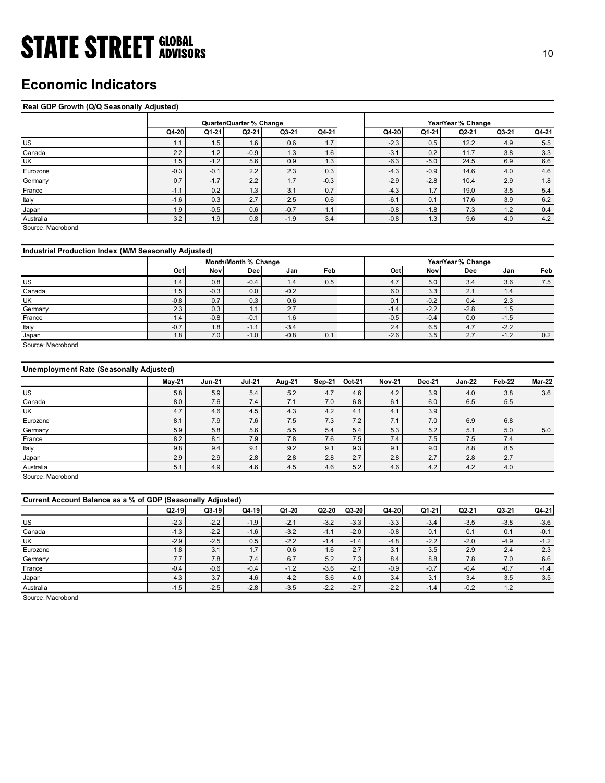## Economic Indicators

### Real GDP Growth (Q/Q Seasonally Adjusted)

| <b>STATE STREET GLOBAL</b>                            |               |                          |                      |                |            |                                |                |                                        |            |               |
|-------------------------------------------------------|---------------|--------------------------|----------------------|----------------|------------|--------------------------------|----------------|----------------------------------------|------------|---------------|
|                                                       |               |                          |                      |                |            |                                |                |                                        |            | 10            |
|                                                       |               |                          |                      |                |            |                                |                |                                        |            |               |
|                                                       |               |                          |                      |                |            |                                |                |                                        |            |               |
| <b>Economic Indicators</b>                            |               |                          |                      |                |            |                                |                |                                        |            |               |
|                                                       |               |                          |                      |                |            |                                |                |                                        |            |               |
| Real GDP Growth (Q/Q Seasonally Adjusted)             |               |                          |                      |                |            |                                |                |                                        |            |               |
|                                                       |               | Quarter/Quarter % Change |                      |                |            |                                |                | Year/Year % Change                     |            |               |
|                                                       | Q4-20         | Q1-21                    | $Q2-21$              | Q3-21          | Q4-21      | Q4-20                          | Q1-21          | Q2-21                                  | Q3-21      | Q4-21         |
| US                                                    | 1.1           | 1.5                      | 1.6                  | 0.6            | 1.7        | $-2.3$                         | 0.5            | 12.2                                   | 4.9        | 5.5           |
| Canada                                                | 2.2           | 1.2                      | $-0.9$               | 1.3            | 1.6        | $-3.1$                         | 0.2            | 11.7                                   | 3.8        | 3.3           |
| UK                                                    | 1.5           | $-1.2$                   | 5.6                  | 0.9            | 1.3        | $-6.3$                         | $-5.0$         | 24.5                                   | 6.9        | 6.6           |
| Eurozone                                              | $-0.3$        | $-0.1$                   | 2.2                  | 2.3            | 0.3        | $-4.3$                         | $-0.9$         | 14.6                                   | 4.0        | 4.6           |
| Germany                                               | 0.7           | $-1.7$                   | 2.2                  | 1.7            | $-0.3$     | $-2.9$                         | $-2.8$         | 10.4                                   | 2.9        | $1.8$         |
| France                                                | $-1.1$        | 0.2                      | 1.3                  | 3.1            | 0.7        | $-4.3$                         | 1.7            | 19.0                                   | 3.5        | $5.4\,$       |
| Italy                                                 | $-1.6$        | 0.3                      | 2.7                  | 2.5            | 0.6        | $-6.1$                         | 0.1            | 17.6                                   | 3.9        | $6.2\,$       |
| Japan                                                 | 1.9           | $-0.5$                   | 0.6                  | $-0.7$         | 1.1        | $-0.8$                         | $-1.8$         | 7.3                                    | 1.2        | $0.4\,$       |
| Australia<br>Source: Macrobond                        | 3.2           | 1.9                      | 0.8                  | $-1.9$         | 3.4        | $-0.8$                         | 1.3            | 9.6                                    | 4.0        | 4.2           |
|                                                       |               |                          |                      |                |            |                                |                |                                        |            |               |
|                                                       |               |                          |                      |                |            |                                |                |                                        |            |               |
| Industrial Production Index (M/M Seasonally Adjusted) |               |                          |                      |                |            |                                |                |                                        |            |               |
|                                                       |               |                          | Month/Month % Change |                |            |                                |                | Year/Year % Change<br>Dec <sup>1</sup> |            |               |
|                                                       | Oct           | Nov                      | Dec                  | Jan            | Feb        | Oct                            | <b>Nov</b>     |                                        | Jan        | Feb           |
| <b>US</b><br>Canada                                   | 1.4<br>1.5    | 0.8<br>$-0.3$            | $-0.4$<br>0.0        | 1.4<br>$-0.2$  | 0.5        | 4.7<br>6.0                     | $5.0\,$<br>3.3 | 3.4<br>2.1                             | 3.6<br>1.4 | 7.5           |
| UK                                                    | $-0.8$        | 0.7                      | 0.3                  | 0.6            |            | 0.1                            | $-0.2$         | 0.4                                    | 2.3        |               |
| Germany                                               | 2.3           | 0.3                      | 1.1                  | 2.7            |            | $-1.4$                         | $-2.2$         | $-2.8$                                 | 1.5        |               |
| France                                                | 1.4           | $-0.8$                   | $-0.1$               | 1.6            |            | $-0.5$                         | $-0.4$         | 0.0                                    | $-1.5$     |               |
| Italy                                                 | $-0.7$        | 1.8                      | $-1.1$               | $-3.4$         |            | $2.4\,$                        | 6.5            | 4.7                                    | $-2.2$     |               |
| Japan                                                 | 1.8           | 7.0                      | $-1.0$               | $-0.8$         | 0.1        | $-2.6$                         | 3.5            | 2.7                                    | $-1.2$     | 0.2           |
| Source: Macrobond                                     |               |                          |                      |                |            |                                |                |                                        |            |               |
|                                                       |               |                          |                      |                |            |                                |                |                                        |            |               |
|                                                       |               |                          |                      |                |            |                                |                |                                        |            |               |
| <b>Unemployment Rate (Seasonally Adjusted)</b>        |               |                          | <b>Jul-21</b>        | <b>Aug-21</b>  | Sep-21     | <b>Oct-21</b><br><b>Nov-21</b> | <b>Dec-21</b>  | <b>Jan-22</b>                          | Feb-22     | <b>Mar-22</b> |
|                                                       |               |                          |                      |                |            |                                |                |                                        |            |               |
|                                                       | <b>May-21</b> | <b>Jun-21</b>            |                      |                |            |                                |                |                                        |            |               |
| US                                                    | 5.8           | 5.9                      | $5.4$                | $5.2\,$        | $4.7\,$    | 4.2<br>4.6                     | 3.9<br>6.0     | 4.0<br>6.5                             | $3.8\,$    | 3.6           |
| Canada<br>UK                                          | 8.0<br>4.7    | 7.6<br>4.6               | 7.4<br>4.5           | 7.1<br>4.3     | 7.0<br>4.2 | 6.1<br>6.8<br>4.1<br>4.1       | 3.9            |                                        | 5.5        |               |
| Eurozone                                              | 8.1           | 7.9                      | 7.6                  | 7.5            | 7.3        | 7.2<br>7.1                     | $7.0\,$        | 6.9                                    | $6.8\,$    |               |
| Germany                                               | 5.9           | 5.8                      | $5.6\,$              | $5.5\,$        | $5.4$      | $5.4\,$<br>$5.3$               | 5.2            | $5.1$                                  | 5.0        | 5.0           |
| France<br><b>taly</b>                                 | 8.2<br>9.8    | 8.1<br>9.4               | 7.9<br>9.1           | 7.8<br>$9.2\,$ | 7.6<br>9.1 | 7.4<br>7.5<br>9.1<br>9.3       | 7.5<br>9.0     | 7.5<br>$8.8\,$                         | 7.4<br>8.5 |               |

### Industrial Production Index (M/M Seasonally Adjusted)

|         |              |        | Month/Month % Change |                     |      | Year/Year % Change |        |                                     |        |     |  |  |
|---------|--------------|--------|----------------------|---------------------|------|--------------------|--------|-------------------------------------|--------|-----|--|--|
|         | Oct          | Nov    | Decl                 | Janl                | Febl | Oct                | Novl   | Decl                                | Jan    | Feb |  |  |
| US      | $\mathbf{A}$ | 0.8    | $-0.4$               | $\left  .4 \right $ | 0.5  | 4.7                | 5.0    | 3.4                                 | 3.6    | 7.5 |  |  |
| Canada  | 1.5          | $-0.3$ | 0.0                  | $-0.2$              |      | 6.0                | 3.3    | $\sim$ $\lambda$<br>$\mathcal{L}$ . | 1.4    |     |  |  |
| UK      | $-0.8$       | 0.7    | 0.3                  | 0.6                 |      | 0.1                | $-0.2$ | 0.4                                 | 2.3    |     |  |  |
| Germany | 2.3          | 0.3    | .                    | 2.7                 |      | $-1.4$             | $-2.2$ | $-2.8$                              | 1.5    |     |  |  |
| France  | (4)          | $-0.8$ | $-0.1$               | 1.6                 |      | $-0.5$             | $-0.4$ | 0.0                                 | $-1.5$ |     |  |  |
| Italy   | $-0.7$       | 1.8    | $-1.1$               | $-3.4$              |      | 2.4                | 6.5    | 4.7                                 | $-2.2$ |     |  |  |
| Japan   | 1.8          | 7.0    | $-1.0$               | $-0.8$              | 0.1  | $-2.6$             | 3.5    | 2.7                                 | $-1.2$ | 0.2 |  |  |

### Unemployment Rate (Seasonally Adjusted)

| US                                                          | 1.1    | 1.5           | 1.6                  | U.6           | 1.7    |         | $-2.3$           | 0.5    | 12.2               | 4.9    | 5.5     |
|-------------------------------------------------------------|--------|---------------|----------------------|---------------|--------|---------|------------------|--------|--------------------|--------|---------|
| Canada                                                      | 2.2    | 1.2           | $-0.9$               | 1.3           | 1.6    |         | $-3.1$           | 0.2    | 11.7               | 3.8    | 3.3     |
| UK                                                          | 1.5    | $-1.2$        | 5.6                  | 0.9           | 1.3    |         | $-6.3$           | $-5.0$ | 24.5               | 6.9    | 6.6     |
| Eurozone                                                    | $-0.3$ | $-0.1$        | 2.2                  | 2.3           | 0.3    |         | $-4.3$           | $-0.9$ | 14.6               | 4.0    | 4.6     |
| Germany                                                     | 0.7    | $-1.7$        | 2.2                  | 1.7           | $-0.3$ |         | $-2.9$           | $-2.8$ | 10.4               | 2.9    | 1.8     |
| France                                                      | $-1.1$ | 0.2           | 1.3                  | 3.1           | 0.7    |         | $-4.3$           | 1.7    | 19.0               | 3.5    | $5.4$   |
| Italy                                                       | $-1.6$ | 0.3           | 2.7                  | 2.5           | 0.6    |         | $-6.1$           | 0.1    | 17.6               | 3.9    | 6.2     |
| Japan                                                       | 1.9    | $-0.5$        | 0.6                  | $-0.7$        | 1.1    |         | $-0.8$           | $-1.8$ | 7.3                | $1.2$  | 0.4     |
| Australia                                                   | 3.2    | 1.9           | 0.8                  | $-1.9$        | 3.4    |         | $-0.8$           | 1.3    | 9.6                | 4.0    | $4.2\,$ |
| Source: Macrobond                                           |        |               |                      |               |        |         |                  |        |                    |        |         |
| Industrial Production Index (M/M Seasonally Adjusted)       |        |               |                      |               |        |         |                  |        |                    |        |         |
|                                                             |        |               | Month/Month % Change |               |        |         |                  |        | Year/Year % Change |        |         |
|                                                             | Oct    | Nov           | <b>Dec</b>           | Jan           | Feb    |         | Oct              | Nov    | <b>Dec</b>         | Jan    | Feb     |
|                                                             |        |               |                      |               |        |         |                  |        |                    |        |         |
| US                                                          | 1.4    | 0.8           | $-0.4$               | 1.4<br>$-0.2$ | 0.5    |         | 4.7<br>6.0       | 5.0    | 3.4<br>2.1         | 3.6    | 7.5     |
| Canada                                                      | 1.5    | $-0.3$        | 0.0                  |               |        |         |                  | 3.3    |                    | 1.4    |         |
| UK                                                          | $-0.8$ | 0.7           | 0.3                  | 0.6<br>2.7    |        |         | 0.1              | $-0.2$ | 0.4<br>$-2.8$      | 2.3    |         |
| Germany                                                     | 2.3    | 0.3           | 1.1                  | 1.6           |        |         | $-1.4$<br>$-0.5$ | $-2.2$ | 0.0                | 1.5    |         |
| France                                                      | 1.4    | $-0.8$        | $-0.1$               |               |        |         |                  | $-0.4$ |                    | $-1.5$ |         |
| Italy                                                       | $-0.7$ | 1.8           | $-1.1$               | $-3.4$        |        |         | 2.4              | 6.5    | 4.7                | $-2.2$ |         |
| Japan<br>Source: Macrobond                                  | 1.8    | 7.0           | $-1.0$               | $-0.8$        | 0.1    |         | $-2.6$           | 3.5    | 2.7                | $-1.2$ | 0.2     |
| <b>Unemployment Rate (Seasonally Adjusted)</b>              |        | <b>Jun-21</b> | <b>Jul-21</b>        | Aug-21        | Sep-21 | Oct-21  | <b>Nov-21</b>    | Dec-21 | Jan-22             | Feb-22 | Mar-22  |
|                                                             | May-21 |               |                      |               |        |         |                  |        |                    |        |         |
| US                                                          | 5.8    | 5.9           | 5.4                  | 5.2           | 4.7    | 4.6     | 4.2              | 3.9    | 4.0                | 3.8    | 3.6     |
| Canada                                                      | 8.0    | 7.6           | 7.4                  | 7.1           | 7.0    | 6.8     | 6.1              | 6.0    | 6.5                | 5.5    |         |
| UK                                                          | 4.7    | 4.6           | 4.5                  | 4.3           | 4.2    | 4.1     | 4.1              | 3.9    |                    |        |         |
| Eurozone                                                    | 8.1    | 7.9           | 7.6                  | 7.5           | 7.3    | 7.2     | 7.1              | 7.0    | 6.9                | 6.8    |         |
| Germany                                                     | 5.9    | 5.8           | 5.6                  | $5.5\,$       | 5.4    | 5.4     | 5.3              | 5.2    | 5.1                | 5.0    | 5.0     |
| France                                                      | 8.2    | 8.1           | 7.9                  | 7.8           | 7.6    | 7.5     | 7.4              | 7.5    | 7.5                | 7.4    |         |
| Italy                                                       | 9.8    | 9.4           | 9.1                  | 9.2           | 9.1    | 9.3     | 9.1              | 9.0    | 8.8                | 8.5    |         |
| Japan                                                       | 2.9    | 2.9           | 2.8                  | 2.8           | 2.8    | 2.7     | 2.8              | 2.7    | 2.8                | 2.7    |         |
| Australia                                                   | 5.1    | 4.9           | 4.6                  | 4.5           | 4.6    | $5.2$   | 4.6              | 4.2    | 4.2                | 4.0    |         |
| Source: Macrobond                                           |        |               |                      |               |        |         |                  |        |                    |        |         |
|                                                             |        |               |                      |               |        |         |                  |        |                    |        |         |
| Current Account Balance as a % of GDP (Seasonally Adjusted) |        |               |                      |               |        |         |                  |        |                    |        |         |
|                                                             | Q2-19  | Q3-19         | $Q4-19$              | Q1-20         | Q2-20  | $Q3-20$ | Q4-20            | Q1-21  | Q2-21              | Q3-21  | $Q4-21$ |
| US                                                          | $-2.3$ | $-2.2$        | $-1.9$               | $-2.1$        | $-3.2$ | $-3.3$  | $-3.3$           | $-3.4$ | $-3.5$             | $-3.8$ | $-3.6$  |
| Canada                                                      | $-1.3$ | $-2.2$        | $-1.6$               | $-3.2$        | $-1.1$ | $-2.0$  | $-0.8$           | 0.1    | 0.1                | 0.1    | $-0.1$  |
| UK                                                          | $-2.9$ | $-2.5$        | $0.5\,$              | $-2.2$        | $-1.4$ | $-1.4$  | $-4.8$           | $-2.2$ | $-2.0$             | $-4.9$ | $-1.2$  |
| Eurozone                                                    | 1.8    | 3.1           | 1.7                  | 0.6           | 1.6    | 2.7     | 3.1              | 3.5    | 2.9                | 2.4    | 2.3     |
| Germany                                                     | 7.7    | 7.8           | 7.4                  | 6.7           | 5.2    | 7.3     | 8.4              | 8.8    | 7.8                | 7.0    | 6.6     |
| France                                                      | $-0.4$ | $-0.6$        | $-0.4$               | $-1.2$        | $-3.6$ | $-2.1$  | $-0.9$           | $-0.7$ | $-0.4$             | $-0.7$ | $-1.4$  |
| Japan                                                       | 4.3    | 3.7           | 4.6                  | 4.2           | 3.6    | 4.0     | 3.4              | 3.1    | 3.4                | 3.5    | $3.5\,$ |
|                                                             |        |               |                      |               |        |         |                  |        |                    |        |         |

|                                                                                                                     |               |               | $-0.4$        | 1.4           | 0.5           |               |               |               |               |            |        |
|---------------------------------------------------------------------------------------------------------------------|---------------|---------------|---------------|---------------|---------------|---------------|---------------|---------------|---------------|------------|--------|
| US                                                                                                                  | 1.4           | 0.8           |               |               |               |               | 4.7           | 5.0           | 3.4           | 3.6        | 7.5    |
| Canada                                                                                                              | 1.5           | $-0.3$        | 0.0           | $-0.2$        |               |               | 6.0           | 3.3           | 2.1           | 1.4        |        |
| UK                                                                                                                  | $-0.8$        | 0.7           | 0.3           | 0.6           |               |               | 0.1           | $-0.2$        | 0.4           | 2.3        |        |
| Germany                                                                                                             | 2.3           | 0.3           | 1.1           | 2.7           |               |               | $-1.4$        | $-2.2$        | $-2.8$        | 1.5        |        |
| France                                                                                                              | $1.4$         | $-0.8$        | $-0.1$        | 1.6           |               |               | $-0.5$        | $-0.4$        | $0.0\,$       | $-1.5$     |        |
| Italy                                                                                                               | $-0.7$        | 1.8           | $-1.1$        | $-3.4$        |               |               | 2.4           | 6.5           | 4.7           | $-2.2$     |        |
| Japan                                                                                                               | 1.8           | 7.0           | $-1.0$        | $-0.8$        | 0.1           |               | $-2.6$        | 3.5           | 2.7           | $-1.2$     | 0.2    |
| Source: Macrobond                                                                                                   |               |               |               |               |               |               |               |               |               |            |        |
| <b>Unemployment Rate (Seasonally Adjusted)</b>                                                                      |               |               |               |               |               |               |               |               |               |            |        |
|                                                                                                                     | May-21        | <b>Jun-21</b> | $Jul-21$      | Aug-21        | <b>Sep-21</b> | Oct-21        | <b>Nov-21</b> | <b>Dec-21</b> | $Jan-22$      | Feb-22     | Mar-22 |
| US                                                                                                                  | 5.8           | 5.9           | 5.4           | 5.2           | 4.7           | 4.6           | 4.2           | 3.9           | 4.0           | 3.8        | 3.6    |
| Canada                                                                                                              | 8.0           | 7.6           | 7.4           | 7.1           | $7.0$         | 6.8           | 6.1           | 6.0           | 6.5           | 5.5        |        |
| UK                                                                                                                  | 4.7           | 4.6           | 4.5           | 4.3           | 4.2           | 4.1           | 4.1           | 3.9           |               |            |        |
| Eurozone                                                                                                            | 8.1           | 7.9           | 7.6           | 7.5           | 7.3           | 7.2           | 7.1           | $7.0\,$       | 6.9           | 6.8        |        |
| Germany                                                                                                             | 5.9           | 5.8           | 5.6           | 5.5           | 5.4           | 5.4           | 5.3           | $5.2\,$       | 5.1           | $5.0$      | 5.0    |
| France                                                                                                              | 8.2           | 8.1           | 7.9           | 7.8           | 7.6           | 7.5           | 7.4           | $7.5\,$       | 7.5           | 7.4        |        |
|                                                                                                                     |               |               |               |               |               |               |               |               |               |            |        |
| Italy                                                                                                               | 9.8           | 9.4           | 9.1           | 9.2           | 9.1           | 9.3           | 9.1           | 9.0           | 8.8           | 8.5        |        |
| Japan                                                                                                               | 2.9           | 2.9           | 2.8           |               | 2.8           | 2.7           | 2.8           | 2.7           | 2.8           | 2.7        |        |
|                                                                                                                     | 5.1           | 4.9           | 4.6           | 2.8<br>4.5    | 4.6           | 5.2           | 4.6           | 4.2           | 4.2           | 4.0        |        |
|                                                                                                                     |               |               |               |               |               |               |               |               |               |            |        |
|                                                                                                                     |               |               |               |               |               |               |               |               |               |            |        |
|                                                                                                                     | $Q2-19$       | Q3-19         | $Q4-19$       | $Q1-20$       | Q2-20         | $Q3-20$       | Q4-20         | Q1-21         | $Q2-21$       | Q3-21      | Q4-21  |
|                                                                                                                     | $-2.3$        | $-2.2$        | $-1.9$        | $-2.1$        | $-3.2$        | $-3.3$        | $-3.3$        | $-3.4$        | $-3.5$        | $-3.8$     | $-3.6$ |
|                                                                                                                     | $-1.3$        | $-2.2$        | $-1.6$        | $-3.2$        | $-1.1$        | $-2.0$        | $-0.8$        | 0.1           | 0.1           | 0.1        | $-0.1$ |
| Australia<br>Source: Macrobond<br>Current Account Balance as a % of GDP (Seasonally Adjusted)<br>US<br>Canada<br>UK | $-2.9$        | $-2.5$        | 0.5           | $-2.2$        | $-1.4$        | $-1.4$        | $-4.8$        | $-2.2$        | $-2.0$        | $-4.9$     | $-1.2$ |
| Eurozone                                                                                                            | 1.8           | 3.1           | 1.7           | 0.6           | 1.6           | 2.7           | 3.1           | 3.5           | 2.9           | 2.4        | 2.3    |
| Germany                                                                                                             | 7.7           | 7.8           | 7.4           | 6.7           | 5.2           | 7.3           | 8.4           | 8.8           | 7.8           | 7.0        | 6.6    |
| France                                                                                                              | $-0.4$        | $-0.6$        | $-0.4$        | $-1.2$        | $-3.6$        | $-2.1$        | $-0.9$        | $-0.7$        | $-0.4$        | $-0.7$     | $-1.4$ |
| Japan<br>Australia                                                                                                  | 4.3<br>$-1.5$ | 3.7<br>$-2.5$ | 4.6<br>$-2.8$ | 4.2<br>$-3.5$ | 3.6<br>$-2.2$ | 4.0<br>$-2.7$ | 3.4<br>$-2.2$ | 3.1<br>$-1.4$ | 3.4<br>$-0.2$ | 3.5<br>1.2 | 3.5    |